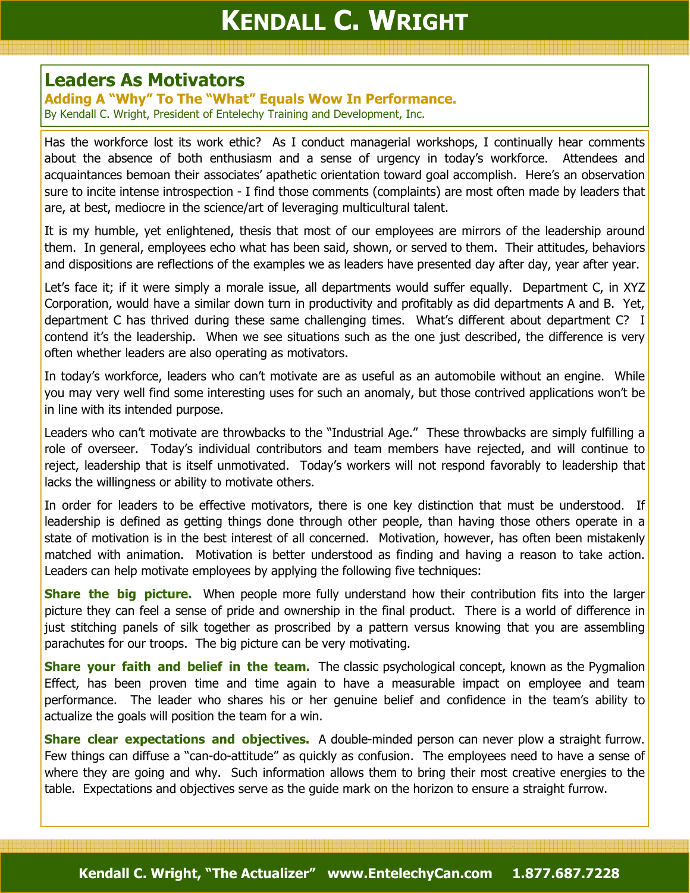## Leaders As Motivators

Adding A "Why" To The "What" Equals Wow In Performance. By Kendall C. Wright, President of Entelechy Training and Development, Inc.

Has the workforce lost its work ethic? As I conduct managerial workshops, I continually hear comments about the absence of both enthusiasm and a sense of urgency in today's workforce. Attendees and acquaintances bemoan their associates' apathetic orientation toward goal accomplish. Here's an observation sure to incite intense introspection - I find those comments (complaints) are most often made by leaders that are, at best, mediocre in the science/art of leveraging multicultural talent.

It is my humble, yet enlightened, thesis that most of our employees are mirrors of the leadership around them. In general, employees echo what has been said, shown, or served to them. Their attitudes, behaviors and dispositions are reflections of the examples we as leaders have presented day after day, year after year.

Let's face it; if it were simply a morale issue, all departments would suffer equally. Department C, in XYZ Corporation, would have a similar down turn in productivity and profitably as did departments A and B. Yet, department C has thrived during these same challenging times. What's different about department C? I contend it's the leadership. When we see situations such as the one just described, the difference is very often whether leaders are also operating as motivators.

In today's workforce, leaders who can't motivate are as useful as an automobile without an engine. While you may very well find some interesting uses for such an anomaly, but those contrived applications won't be in line with its intended purpose.

Leaders who can't motivate are throwbacks to the "Industrial Age." These throwbacks are simply fulfilling a role of overseer. Today's individual contributors and team members have rejected, and will continue to reject, leadership that is itself unmotivated. Today's workers will not respond favorably to leadership that lacks the willingness or ability to motivate others.

In order for leaders to be effective motivators, there is one key distinction that must be understood. If leadership is defined as getting things done through other people, than having those others operate in a state of motivation is in the best interest of all concerned. Motivation, however, has often been mistakenly matched with animation. Motivation is better understood as finding and having a reason to take action. Leaders can help motivate employees by applying the following five techniques:

**Share the big picture.** When people more fully understand how their contribution fits into the larger picture they can feel a sense of pride and ownership in the final product. There is a world of difference in just stitching panels of silk together as proscribed by a pattern versus knowing that you are assembling parachutes for our troops. The big picture can be very motivating.

**Share your faith and belief in the team.** The classic psychological concept, known as the Pygmalion Effect, has been proven time and time again to have a measurable impact on employee and team performance. The leader who shares his or her genuine belief and confidence in the team's ability to actualize the goals will position the team for a win.

Share clear expectations and objectives. A double-minded person can never plow a straight furrow. Few things can diffuse a "can-do-attitude" as quickly as confusion. The employees need to have a sense of where they are going and why. Such information allows them to bring their most creative energies to the table. Expectations and objectives serve as the guide mark on the horizon to ensure a straight furrow.